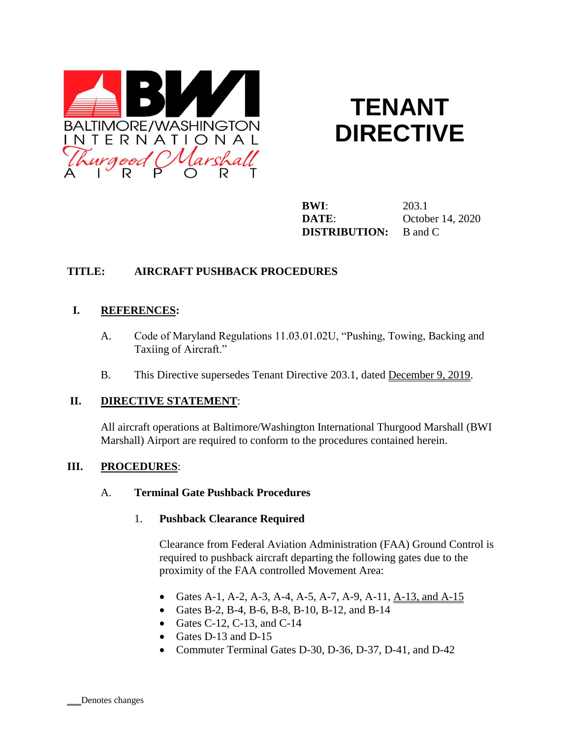

# **TENANT DIRECTIVE**

**BWI**: 203.1 **DATE**: October 14, 2020 **DISTRIBUTION:** B and C

#### **TITLE: AIRCRAFT PUSHBACK PROCEDURES**

#### **I. REFERENCES:**

- A. Code of Maryland Regulations 11.03.01.02U, "Pushing, Towing, Backing and Taxiing of Aircraft."
- B. This Directive supersedes Tenant Directive 203.1, dated December 9, 2019.

#### **II. DIRECTIVE STATEMENT**:

All aircraft operations at Baltimore/Washington International Thurgood Marshall (BWI Marshall) Airport are required to conform to the procedures contained herein.

#### **III. PROCEDURES**:

#### A. **Terminal Gate Pushback Procedures**

#### 1. **Pushback Clearance Required**

Clearance from Federal Aviation Administration (FAA) Ground Control is required to pushback aircraft departing the following gates due to the proximity of the FAA controlled Movement Area:

- Gates A-1, A-2, A-3, A-4, A-5, A-7, A-9, A-11, A-13, and A-15
- Gates B-2, B-4, B-6, B-8, B-10, B-12, and B-14
- Gates C-12, C-13, and C-14
- Gates D-13 and D-15
- Commuter Terminal Gates D-30, D-36, D-37, D-41, and D-42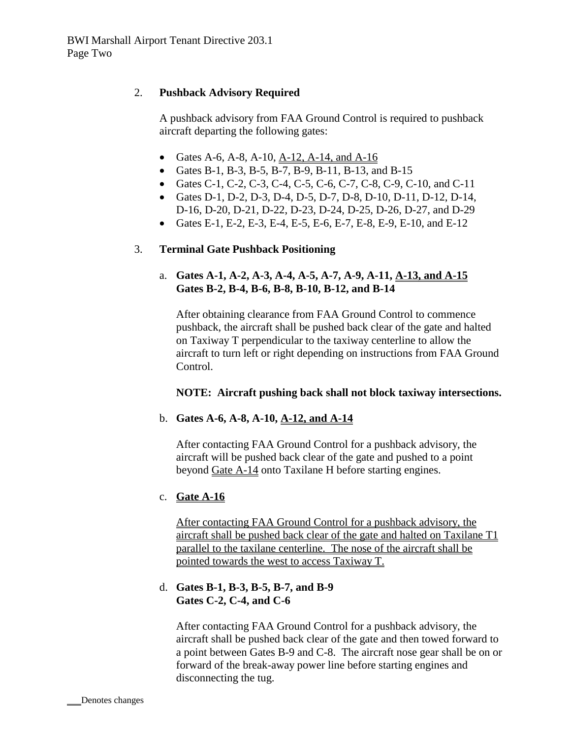## 2. **Pushback Advisory Required**

A pushback advisory from FAA Ground Control is required to pushback aircraft departing the following gates:

- Gates A-6, A-8, A-10,  $A-12$ , A-14, and A-16
- Gates B-1, B-3, B-5, B-7, B-9, B-11, B-13, and B-15
- Gates C-1, C-2, C-3, C-4, C-5, C-6, C-7, C-8, C-9, C-10, and C-11
- Gates D-1, D-2, D-3, D-4, D-5, D-7, D-8, D-10, D-11, D-12, D-14, D-16, D-20, D-21, D-22, D-23, D-24, D-25, D-26, D-27, and D-29
- Gates E-1, E-2, E-3, E-4, E-5, E-6, E-7, E-8, E-9, E-10, and E-12

#### 3. **Terminal Gate Pushback Positioning**

## a. **Gates A-1, A-2, A-3, A-4, A-5, A-7, A-9, A-11, A-13, and A-15 Gates B-2, B-4, B-6, B-8, B-10, B-12, and B-14**

After obtaining clearance from FAA Ground Control to commence pushback, the aircraft shall be pushed back clear of the gate and halted on Taxiway T perpendicular to the taxiway centerline to allow the aircraft to turn left or right depending on instructions from FAA Ground Control.

## **NOTE: Aircraft pushing back shall not block taxiway intersections.**

## b. **Gates A-6, A-8, A-10, A-12, and A-14**

After contacting FAA Ground Control for a pushback advisory, the aircraft will be pushed back clear of the gate and pushed to a point beyond Gate A-14 onto Taxilane H before starting engines.

## c. **Gate A-16**

After contacting FAA Ground Control for a pushback advisory, the aircraft shall be pushed back clear of the gate and halted on Taxilane T1 parallel to the taxilane centerline. The nose of the aircraft shall be pointed towards the west to access Taxiway T.

#### d. **Gates B-1, B-3, B-5, B-7, and B-9 Gates C-2, C-4, and C-6**

After contacting FAA Ground Control for a pushback advisory, the aircraft shall be pushed back clear of the gate and then towed forward to a point between Gates B-9 and C-8. The aircraft nose gear shall be on or forward of the break-away power line before starting engines and disconnecting the tug.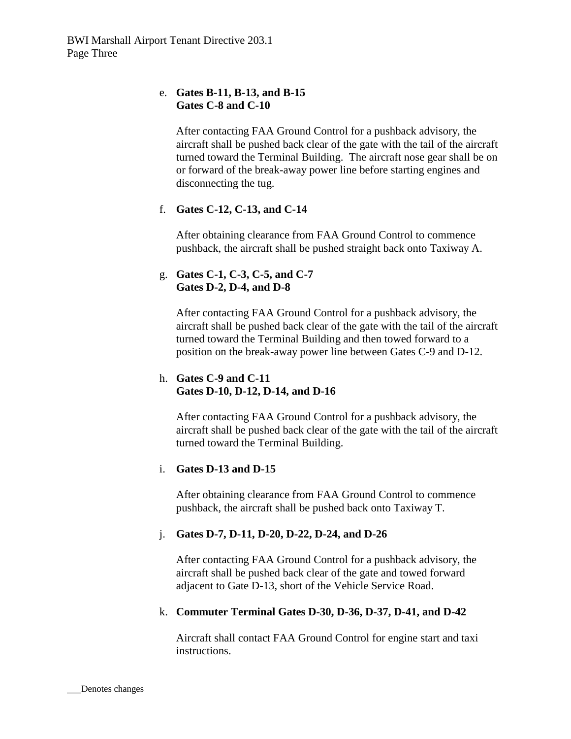## e. **Gates B-11, B-13, and B-15 Gates C-8 and C-10**

After contacting FAA Ground Control for a pushback advisory, the aircraft shall be pushed back clear of the gate with the tail of the aircraft turned toward the Terminal Building. The aircraft nose gear shall be on or forward of the break-away power line before starting engines and disconnecting the tug.

# f. **Gates C-12, C-13, and C-14**

After obtaining clearance from FAA Ground Control to commence pushback, the aircraft shall be pushed straight back onto Taxiway A.

## g. **Gates C-1, C-3, C-5, and C-7 Gates D-2, D-4, and D-8**

After contacting FAA Ground Control for a pushback advisory, the aircraft shall be pushed back clear of the gate with the tail of the aircraft turned toward the Terminal Building and then towed forward to a position on the break-away power line between Gates C-9 and D-12.

## h. **Gates C-9 and C-11 Gates D-10, D-12, D-14, and D-16**

After contacting FAA Ground Control for a pushback advisory, the aircraft shall be pushed back clear of the gate with the tail of the aircraft turned toward the Terminal Building.

## i. **Gates D-13 and D-15**

After obtaining clearance from FAA Ground Control to commence pushback, the aircraft shall be pushed back onto Taxiway T.

## j. **Gates D-7, D-11, D-20, D-22, D-24, and D-26**

After contacting FAA Ground Control for a pushback advisory, the aircraft shall be pushed back clear of the gate and towed forward adjacent to Gate D-13, short of the Vehicle Service Road.

## k. **Commuter Terminal Gates D-30, D-36, D-37, D-41, and D-42**

Aircraft shall contact FAA Ground Control for engine start and taxi instructions.